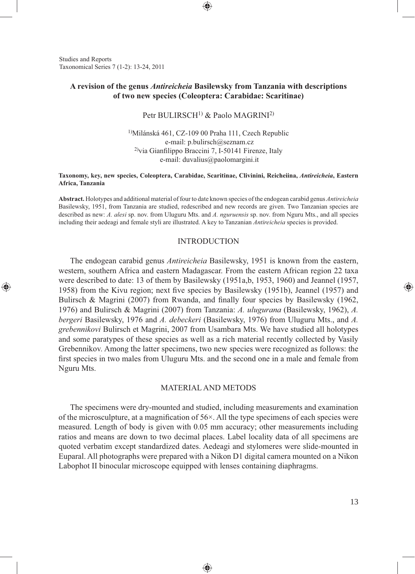Studies and Reports Taxonomical Series 7 (1-2): 13-24, 2011

⊕

# **A revision of the genus** *Antireicheia* **Basilewsky from Tanzania with descriptions of two new species (Coleoptera: Carabidae: Scaritinae)**

⊕

Petr BULIRSCH<sup>1)</sup> & Paolo MAGRINI<sup>2)</sup>

<sup>1</sup>)Milánská 461, CZ-109 00 Praha 111, Czech Republic e-mail: p.bulirsch@seznam.cz  $^{2)}$ via Gianfilippo Braccini 7, I-50141 Firenze, Italy e-mail: duvalius@paolomargini.it

#### **Taxonomy, key, new species, Coleoptera, Carabidae, Scaritinae, Clivinini, Reicheiina,** *Antireicheia***, Eastern Africa, Tanzania**

**Abstract.** Holotypes and additional material of four to date known species of the endogean carabid genus *Antireicheia*  Basilewsky, 1951, from Tanzania are studied, redescribed and new records are given. Two Tanzanian species are described as new: *A. alesi* sp. nov. from Uluguru Mts. and *A. nguruensis* sp. nov. from Nguru Mts., and all species including their aedeagi and female styli are illustrated. A key to Tanzanian *Antireicheia* species is provided.

### **INTRODUCTION**

The endogean carabid genus *Antireicheia* Basilewsky, 1951 is known from the eastern, western, southern Africa and eastern Madagascar. From the eastern African region 22 taxa were described to date: 13 of them by Basilewsky (1951a,b, 1953, 1960) and Jeannel (1957, 1958) from the Kivu region; next five species by Basilewsky (1951b), Jeannel (1957) and Bulirsch & Magrini (2007) from Rwanda, and finally four species by Basilewsky (1962, 1976) and Bulirsch & Magrini (2007) from Tanzania: *A. ulugurana* (Basilewsky, 1962), *A. bergeri* Basilewsky, 1976 and *A. debeckeri* (Basilewsky, 1976) from Uluguru Mts., and *A. grebennikovi* Bulirsch et Magrini, 2007 from Usambara Mts. We have studied all holotypes and some paratypes of these species as well as a rich material recently collected by Vasily Grebennikov. Among the latter specimens, two new species were recognized as follows: the first species in two males from Uluguru Mts. and the second one in a male and female from Nguru Mts.

## MATERIAL AND METODS

The specimens were dry-mounted and studied, including measurements and examination of the microsculpture, at a magnification of  $56\times$ . All the type specimens of each species were measured. Length of body is given with 0.05 mm accuracy; other measurements including ratios and means are down to two decimal places. Label locality data of all specimens are quoted verbatim except standardized dates. Aedeagi and stylomeres were slide-mounted in Euparal. All photographs were prepared with a Nikon D1 digital camera mounted on a Nikon Labophot II binocular microscope equipped with lenses containing diaphragms.

◈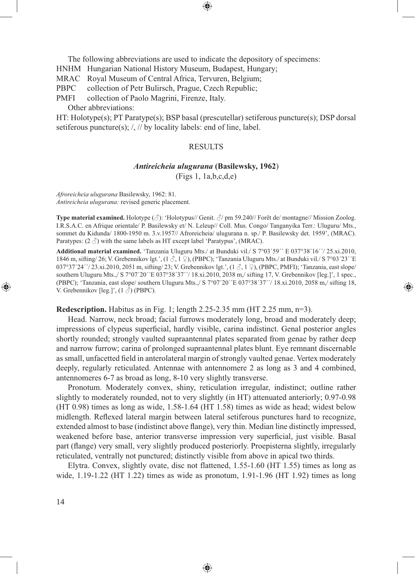The following abbreviations are used to indicate the depository of specimens:

HNHM Hungarian National History Museum, Budapest, Hungary;

MRAC Royal Museum of Central Africa, Tervuren, Belgium;

PBPC collection of Petr Bulirsch, Prague, Czech Republic;

PMFI collection of Paolo Magrini, Firenze, Italy.

Other abbreviations:

HT: Holotype(s); PT Paratype(s); BSP basal (prescutellar) setiferous puncture(s); DSP dorsal setiferous puncture(s); /, // by locality labels: end of line, label.

#### RESULTS

#### *Antireicheia ulugurana* **(Basilewsky, 1962**)

(Figs 1, 1a,b,c,d,e)

*Afroreicheia ulugurana* Basilewsky, 1962: 81. *Antireicheia ulugurana:* revised generic placement.

**Type material examined.** Holotype (♂): 'Holotypus// Genit. ♂/ pm 59.240// Forêt de/ montagne// Mission Zoolog. I.R.S.A.C. en Afrique orientale/ P. Basilewsky et/ N. Leleup// Coll. Mus. Congo/ Tanganyika Terr.: Uluguru/ Mts., sommet du Kidunda/ 1800-1950 m. 3.v.1957// Afroreicheia/ ulugurana n. sp./ P. Basilewsky det. 1959', (MRAC). Paratypes:  $(2 \text{ } \textcircled{})$  with the same labels as HT except label 'Paratypus', (MRAC).

**Additional material examined.** 'Tanzania Uluguru Mts./ at Bunduki vil./ S 7°03´59´´ E 037°38´16´´/ 25.xi.2010, 1846 m, sifting/26; V. Grebennikov lgt.',  $(1 \text{ } \frac{3}{2})$ , (PBPC); 'Tanzania Uluguru Mts./ at Bunduki vil./ S 7°03'23''E 037°37´24´'/ 23.xi.2010, 2051 m, sifting/ 23; V. Grebennikov lgt.',  $(1 \text{ } \frac{3}{2}, 1 \text{ } \frac{1}{2})$ , (PBPC, PMFI); 'Tanzania, east slope/ southern Uluguru Mts.,/ S 7°07´20´´E 037°38´37''/ 18.xi.2010, 2038 m,/ sifting 17, V. Grebennikov [leg.]', 1 spec., (PBPC); 'Tanzania, east slope/ southern Uluguru Mts.,/ S 7°07´20´´E 037°38´37´´/ 18.xi.2010, 2058 m,/ sifting 18, V. Grebennikov [leg.]',  $(1 \text{ } \textcircled{})$  (PBPC).

⊕

### **Redescription.** Habitus as in Fig. 1; length 2.25-2.35 mm (HT 2.25 mm, n=3).

Head. Narrow, neck broad; facial furrows moderately long, broad and moderately deep; impressions of clypeus superficial, hardly visible, carina indistinct. Genal posterior angles shortly rounded; strongly vaulted supraantennal plates separated from genae by rather deep and narrow furrow; carina of prolonged supraantennal plates blunt. Eye remnant discernable as small, unfacetted field in anterolateral margin of strongly vaulted genae. Vertex moderately deeply, regularly reticulated. Antennae with antennomere 2 as long as 3 and 4 combined, antennomeres 6-7 as broad as long, 8-10 very slightly transverse.

Pronotum. Moderately convex, shiny, reticulation irregular, indistinct; outline rather slightly to moderately rounded, not to very slightly (in HT) attenuated anteriorly; 0.97-0.98 (HT 0.98) times as long as wide, 1.58-1.64 (HT 1.58) times as wide as head; widest below midlength. Reflexed lateral margin between lateral setiferous punctures hard to recognize, extended almost to base (indistinct above flange), very thin. Median line distinctly impressed, weakened before base, anterior transverse impression very superficial, just visible. Basal part (flange) very small, very slightly produced posteriorly. Proepisterna slightly, irregularly reticulated, ventrally not punctured; distinctly visible from above in apical two thirds.

Elytra. Convex, slightly ovate, disc not flattened, 1.55-1.60 (HT 1.55) times as long as wide, 1.19-1.22 (HT 1.22) times as wide as pronotum, 1.91-1.96 (HT 1.92) times as long

♠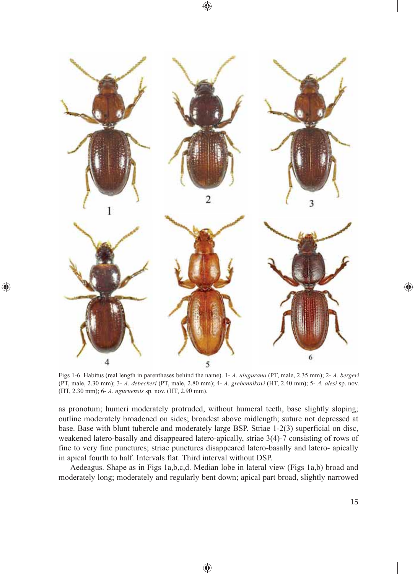⊕



◈

Figs 1-6. Habitus (real length in parentheses behind the name). 1- *A. ulugurana* (PT, male, 2.35 mm); 2- *A. bergeri* (PT, male, 2.30 mm); 3- *A. debeckeri* (PT, male, 2.80 mm); 4- *A. grebennikovi* (HT, 2.40 mm); 5- *A. alesi* sp. nov. (HT, 2.30 mm); 6- *A. nguruensis* sp. nov. (HT, 2.90 mm).

as pronotum; humeri moderately protruded, without humeral teeth, base slightly sloping; outline moderately broadened on sides; broadest above midlength; suture not depressed at base. Base with blunt tubercle and moderately large BSP. Striae 1-2(3) superficial on disc, weakened latero-basally and disappeared latero-apically, striae 3(4)-7 consisting of rows of fine to very fine punctures; striae punctures disappeared latero-basally and latero- apically in apical fourth to half. Intervals flat. Third interval without DSP.

Aedeagus. Shape as in Figs 1a,b,c,d. Median lobe in lateral view (Figs 1a,b) broad and moderately long; moderately and regularly bent down; apical part broad, slightly narrowed ◈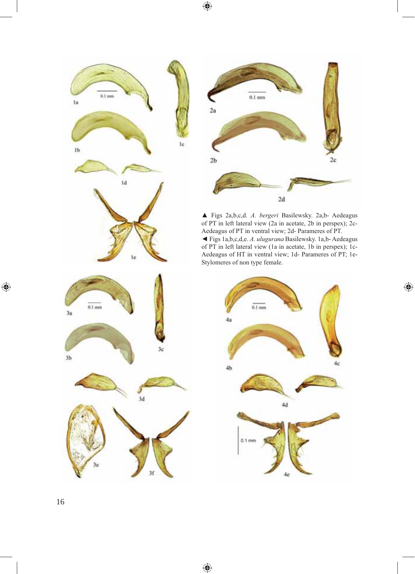$\bigoplus$ 

 $\bigoplus$ 





▲ Figs 2a,b,c,d. *A. bergeri* Basilewsky. 2a,b- Aedeagus of PT in left lateral view (2a in acetate, 2b in perspex); 2c-Aedeagus of PT in ventral view; 2d- Parameres of PT. ◄ Figs 1a,b,c,d,e. *A. ulugurana* Basilewsky. 1a,b- Aedeagus of PT in left lateral view (1a in acetate, 1b in perspex); 1c-Aedeagus of HT in ventral view; 1d- Parameres of PT; 1e-

 $\bigoplus$ 



 $\bigoplus$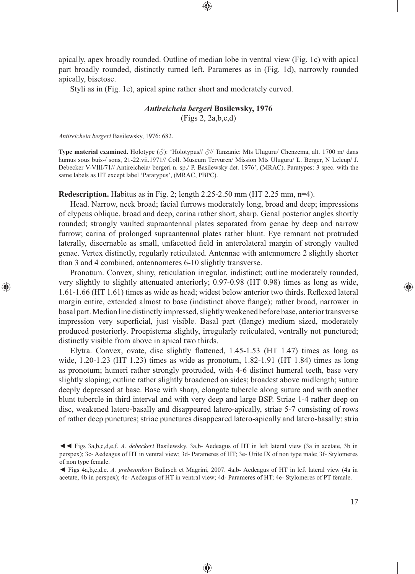apically, apex broadly rounded. Outline of median lobe in ventral view (Fig. 1c) with apical part broadly rounded, distinctly turned left. Parameres as in (Fig. 1d), narrowly rounded apically, bisetose.

Styli as in (Fig. 1e), apical spine rather short and moderately curved.

### *Antireicheia bergeri* **Basilewsky, 1976**

(Figs 2, 2a,b,c,d)

*Antireicheia bergeri* Basilewsky, 1976: 682.

⊕

**Type material examined.** Holotype (♂): 'Holotypus// ♂// Tanzanie: Mts Uluguru/ Chenzema, alt. 1700 m/ dans humus sous buis-/ sons, 21-22.vii.1971// Coll. Museum Tervuren/ Mission Mts Uluguru/ L. Berger, N Leleup/ J. Debecker V-VIII/71// Antireicheia/ bergeri n. sp./ P. Basilewsky det. 1976', (MRAC). Paratypes: 3 spec. with the same labels as HT except label 'Paratypus', (MRAC, PBPC).

**Redescription.** Habitus as in Fig. 2; length 2.25-2.50 mm (HT 2.25 mm, n=4).

Head. Narrow, neck broad; facial furrows moderately long, broad and deep; impressions of clypeus oblique, broad and deep, carina rather short, sharp. Genal posterior angles shortly rounded; strongly vaulted supraantennal plates separated from genae by deep and narrow furrow; carina of prolonged supraantennal plates rather blunt. Eye remnant not protruded laterally, discernable as small, unfacetted field in anterolateral margin of strongly vaulted genae. Vertex distinctly, regularly reticulated. Antennae with antennomere 2 slightly shorter than 3 and 4 combined, antennomeres 6-10 slightly transverse.

Pronotum. Convex, shiny, reticulation irregular, indistinct; outline moderately rounded, very slightly to slightly attenuated anteriorly; 0.97-0.98 (HT 0.98) times as long as wide, 1.61-1.66 (HT 1.61) times as wide as head; widest below anterior two thirds. Reflexed lateral margin entire, extended almost to base (indistinct above flange); rather broad, narrower in basal part. Median line distinctly impressed, slightly weakened before base, anterior transverse impression very superficial, just visible. Basal part (flange) medium sized, moderately produced posteriorly. Proepisterna slightly, irregularly reticulated, ventrally not punctured; distinctly visible from above in apical two thirds.

Elytra. Convex, ovate, disc slightly flattened, 1.45-1.53 (HT 1.47) times as long as wide, 1.20-1.23 (HT 1.23) times as wide as pronotum, 1.82-1.91 (HT 1.84) times as long as pronotum; humeri rather strongly protruded, with 4-6 distinct humeral teeth, base very slightly sloping; outline rather slightly broadened on sides; broadest above midlength; suture deeply depressed at base. Base with sharp, elongate tubercle along suture and with another blunt tubercle in third interval and with very deep and large BSP. Striae 1-4 rather deep on disc, weakened latero-basally and disappeared latero-apically, striae 5-7 consisting of rows of rather deep punctures; striae punctures disappeared latero-apically and latero-basally: stria

⊕

<sup>◄◄</sup> Figs 3a,b,c,d,e,f. *A. debeckeri* Basilewsky. 3a,b- Aedeagus of HT in left lateral view (3a in acetate, 3b in perspex); 3c- Aedeagus of HT in ventral view; 3d- Parameres of HT; 3e- Urite IX of non type male; 3f- Stylomeres of non type female.

<sup>◄</sup> Figs 4a,b,c,d,e. *A. grebennikovi* Bulirsch et Magrini, 2007. 4a,b- Aedeagus of HT in left lateral view (4a in acetate, 4b in perspex); 4c- Aedeagus of HT in ventral view; 4d- Parameres of HT; 4e- Stylomeres of PT female.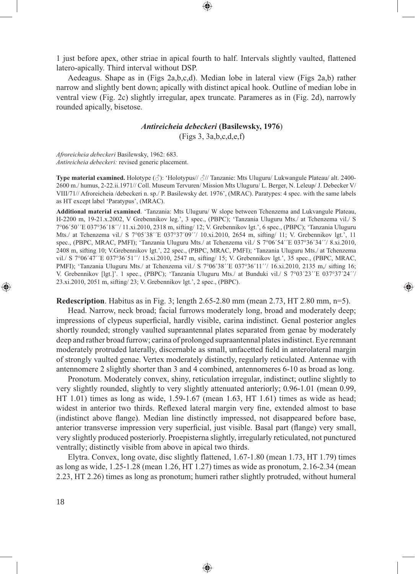1 just before apex, other striae in apical fourth to half. Intervals slightly vaulted, flattened latero-apically. Third interval without DSP.

Aedeagus. Shape as in (Figs 2a,b,c,d). Median lobe in lateral view (Figs 2a,b) rather narrow and slightly bent down; apically with distinct apical hook. Outline of median lobe in ventral view (Fig. 2c) slightly irregular, apex truncate. Parameres as in (Fig. 2d), narrowly rounded apically, bisetose.

# *Antireicheia debeckeri* **(Basilewsky, 1976**)

(Figs 3, 3a,b,c,d,e,f)

*Afroreicheia debeckeri* Basilewsky, 1962: 683. *Antireicheia debeckeri:* revised generic placement.

**Type material examined.** Holotype (♂): 'Holotypus// ♂// Tanzanie: Mts Uluguru/ Lukwangule Plateau/ alt. 2400- 2600 m./ humus, 2-22.ii.1971// Coll. Museum Tervuren/ Mission Mts Uluguru/ L. Berger, N. Leleup/ J. Debecker V/ VIII/71// Afroreicheia /debeckeri n. sp./ P. Basilewsky det. 1976', (MRAC). Paratypes: 4 spec. with the same labels as HT except label 'Paratypus', (MRAC).

**Additional material examined**. 'Tanzania: Mts Uluguru/ W slope between Tchenzema and Lukvangule Plateau, H-2200 m, 19-21.x.2002, V Grebennikov leg.', 3 spec., (PBPC); 'Tanzania Uluguru Mts./ at Tchenzema vil./ S 7°06´50´´E 037°36´18´´/ 11.xi.2010, 2318 m, sifting/ 12; V. Grebennikov lgt.', 6 spec., (PBPC); 'Tanzania Uluguru Mts./ at Tchenzema vil./ S 7°05´38´´E 037°37´09´´/ 10.xi.2010, 2654 m, sifting/ 11; V. Grebennikov lgt.', 11 spec., (PBPC, MRAC, PMFI); 'Tanzania Uluguru Mts./ at Tchenzema vil./ S 7°06´54´´E 037°36´34´´/ 8.xi.2010, 2408 m, sifting 10; V.Grebennikov lgt.', 22 spec., (PBPC, MRAC, PMFI); 'Tanzania Uluguru Mts./ at Tchenzema vil./ S 7°06´47´´E 037°36´51´´/ 15.xi.2010, 2547 m, sifting/ 15; V. Grebennikov lgt.', 35 spec., (PBPC, MRAC, PMFI); 'Tanzania Uluguru Mts./ at Tchenzema vil./ S 7°06´38´´E 037°36'11''/ 16.xi.2010, 2135 m./ sifting 16; V. Grebennikov [lgt.]'. 1 spec., (PBPC); 'Tanzania Uluguru Mts./ at Bunduki vil./ S 7°03´23´´E 037°37´24´´/ 23.xi.2010, 2051 m, sifting/ 23; V. Grebennikov lgt.', 2 spec., (PBPC).

**Redescription**. Habitus as in Fig. 3; length 2.65-2.80 mm (mean 2.73, HT 2.80 mm, n=5).

⊕

Head. Narrow, neck broad; facial furrows moderately long, broad and moderately deep; impressions of clypeus superficial, hardly visible, carina indistinct. Genal posterior angles shortly rounded; strongly vaulted supraantennal plates separated from genae by moderately deep and rather broad furrow; carina of prolonged supraantennal plates indistinct. Eye remnant moderately protruded laterally, discernable as small, unfacetted field in anterolateral margin of strongly vaulted genae. Vertex moderately distinctly, regularly reticulated. Antennae with antennomere 2 slightly shorter than 3 and 4 combined, antennomeres 6-10 as broad as long.

Pronotum. Moderately convex, shiny, reticulation irregular, indistinct; outline slightly to very slightly rounded, slightly to very slightly attenuated anteriorly; 0.96-1.01 (mean 0.99, HT 1.01) times as long as wide, 1.59-1.67 (mean 1.63, HT 1.61) times as wide as head; widest in anterior two thirds. Reflexed lateral margin very fine, extended almost to base (indistinct above flange). Median line distinctly impressed, not disappeared before base, anterior transverse impression very superficial, just visible. Basal part (flange) very small, very slightly produced posteriorly. Proepisterna slightly, irregularly reticulated, not punctured ventrally; distinctly visible from above in apical two thirds.

Elytra. Convex, long ovate, disc slightly flattened, 1.67-1.80 (mean 1.73, HT 1.79) times as long as wide, 1.25-1.28 (mean 1.26, HT 1.27) times as wide as pronotum, 2.16-2.34 (mean 2.23, HT 2.26) times as long as pronotum; humeri rather slightly protruded, without humeral

⊕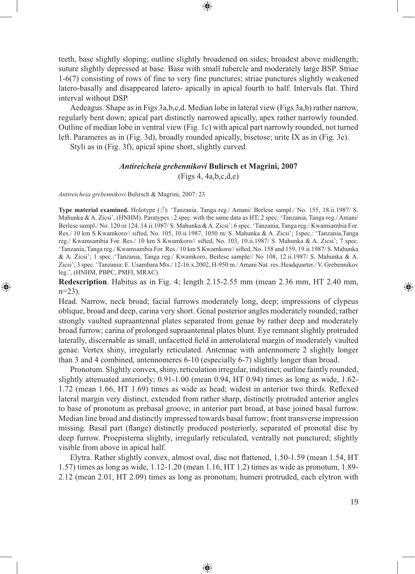teeth, base slightly sloping; outline slightly broadened on sides; broadest above midlength; suture slightly depressed at base. Base with small tubercle and moderately large BSP. Striae 1-6(7) consisting of rows of fine to very fine punctures; striae punctures slightly weakened latero-basally and disappeared latero- apically in apical fourth to half. Intervals flat. Third interval without DSP.

⊕

Aedeagus. Shape as in Figs 3a,b,c,d. Median lobe in lateral view (Figs 3a,b) rather narrow, regularly bent down; apical part distinctly narrowed apically, apex rather narrowly rounded. Outline of median lobe in ventral view (Fig. 1c) with apical part narrowly rounded, not turned left. Parameres as in (Fig. 3d), broadly rounded apically, bisetose; urite IX as in (Fig. 3e).

Styli as in (Fig. 3f), apical spine short, slightly curved.

#### *Antireicheia grebennikovi* **Bulirsch et Magrini, 2007**

(Figs 4, 4a,b,c,d,e)

*Antireicheia grebennikovi* Bulirsch & Magrini, 2007: 23

⊕

**Type material examined.** Holotype (♂): 'Tanzania, Tanga reg./ Amani/ Berlese sampl./ No. 155, 18.ii.1987/ S. Mahunka & A. Zicsi', (HNHM). Paratypes : 2 spec. with the same data as HT; 2 spec: 'Tanzania, Tanga reg./ Amani/ Berlese sampl./ No. 120 or 124, 14.ii.1987/ S. Mahunka & A. Zicsi'; 6 spec. 'Tanzania, Tanga reg./ Kwamsambia For. Res./ 10 km S Kwamkoro// sifted, No. 105, 10.ii.1987, 1050 m/ S. Mahunka & A. Zicsi'; 1spec.: 'Tanzania,Tanga reg./ Kwamsambia For. Res./ 10 km S Kwamkoro// sifted, No. 103, 10.ii.1987/ S. Mahunka & A. Zicsi'; 7 spec. 'Tanzania, Tanga reg./ Kwamsambia For. Res./ 10 km S Kwamkoro// sifted, No. 158 and 159, 19.ii.1987/ S. Mahunka & A. Zicsi'; 1 spec.:'Tanzania, Tanga reg./ Kwamkoro, Berlese sample// No 108, 12.ii.1987/ S. Mahunka & A. Zicsi'; 3 spec. 'Tanzania: E. Usambara Mts./ 12-16.x.2002, H-950 m./ Amani Nat. res. Headquarter./ V. Grebennikov leg.', (HNHM, PBPC, PMFI, MRAC).

**Redescription**. Habitus as in Fig. 4; length 2.15-2.55 mm (mean 2.36 mm, HT 2.40 mm, n=23).

Head. Narrow, neck broad; facial furrows moderately long, deep; impressions of clypeus oblique, broad and deep, carina very short. Genal posterior angles moderately rounded; rather strongly vaulted supraantennal plates separated from genae by rather deep and moderately broad furrow; carina of prolonged supraantennal plates blunt. Eye remnant slightly protruded laterally, discernable as small, unfacetted field in anterolateral margin of moderately vaulted genae. Vertex shiny, irregularly reticulated. Antennae with antennomere 2 slightly longer than 3 and 4 combined, antennomeres 6-10 (especially 6-7) slightly longer than broad.

Pronotum. Slightly convex, shiny, reticulation irregular, indistinct; outline faintly rounded, slightly attenuated anteriorly; 0.91-1.00 (mean 0.94, HT 0.94) times as long as wide, 1.62-  $1.72$  (mean  $1.66$ , HT  $1.69$ ) times as wide as head; widest in anterior two thirds. Reflexed lateral margin very distinct, extended from rather sharp, distinctly protruded anterior angles to base of pronotum as prebasal groove; in anterior part broad, at base joined basal furrow. Median line broad and distinctly impressed towards basal furrow; front transverse impression missing. Basal part (flange) distinctly produced posteriorly, separated of pronotal disc by deep furrow. Proepisterna slightly, irregularly reticulated, ventrally not punctured; slightly visible from above in apical half.

Elytra. Rather slightly convex, almost oval, disc not flattened, 1.50-1.59 (mean 1.54, HT 1.57) times as long as wide, 1.12-1.20 (mean 1.16, HT 1.2) times as wide as pronotum, 1.89- 2.12 (mean 2.01, HT 2.09) times as long as pronotum; humeri protruded, each elytron with

♠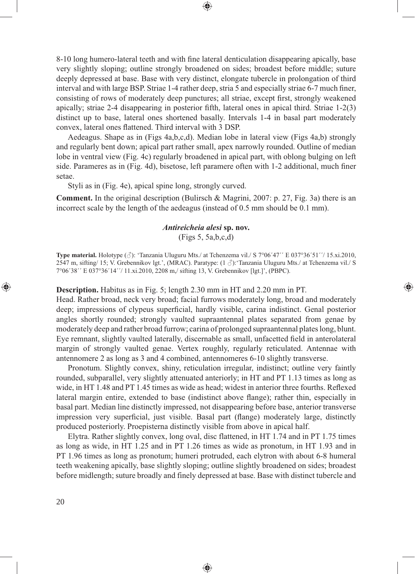8-10 long humero-lateral teeth and with fine lateral denticulation disappearing apically, base very slightly sloping; outline strongly broadened on sides; broadest before middle; suture deeply depressed at base. Base with very distinct, elongate tubercle in prolongation of third interval and with large BSP. Striae 1-4 rather deep, stria 5 and especially striae 6-7 much finer, consisting of rows of moderately deep punctures; all striae, except first, strongly weakened apically; striae 2-4 disappearing in posterior fifth, lateral ones in apical third. Striae  $1-2(3)$ distinct up to base, lateral ones shortened basally. Intervals 1-4 in basal part moderately convex, lateral ones flattened. Third interval with 3 DSP.

⊕

Aedeagus. Shape as in (Figs 4a,b,c,d). Median lobe in lateral view (Figs 4a,b) strongly and regularly bent down; apical part rather small, apex narrowly rounded. Outline of median lobe in ventral view (Fig. 4c) regularly broadened in apical part, with oblong bulging on left side. Parameres as in (Fig. 4d), bisetose, left paramere often with 1-2 additional, much finer setae.

Styli as in (Fig. 4e), apical spine long, strongly curved.

**Comment.** In the original description (Bulirsch & Magrini, 2007: p. 27, Fig. 3a) there is an incorrect scale by the length of the aedeagus (instead of 0.5 mm should be 0.1 mm).

# *Antireicheia alesi* **sp. nov.** (Figs 5, 5a,b,c,d)

**Type material.** Holotype (♂): 'Tanzania Uluguru Mts./ at Tchenzema vil./ S 7°06´47´´ E 037°36´51´´/ 15.xi.2010, 2547 m, sifting/ 15; V. Grebennikov lgt.', (MRAC). Paratype: (1 ♂):'Tanzania Uluguru Mts./ at Tchenzema vil./ S 7°06´38´´ E 037°36´14´´/ 11.xi.2010, 2208 m,/ sifting 13, V. Grebennikov [lgt.]', (PBPC).

⊕

**Description.** Habitus as in Fig. 5; length 2.30 mm in HT and 2.20 mm in PT.

Head. Rather broad, neck very broad; facial furrows moderately long, broad and moderately deep; impressions of clypeus superficial, hardly visible, carina indistinct. Genal posterior angles shortly rounded; strongly vaulted supraantennal plates separated from genae by moderately deep and rather broad furrow; carina of prolonged supraantennal plates long, blunt. Eye remnant, slightly vaulted laterally, discernable as small, unfacetted field in anterolateral margin of strongly vaulted genae. Vertex roughly, regularly reticulated. Antennae with antennomere 2 as long as 3 and 4 combined, antennomeres 6-10 slightly transverse.

Pronotum. Slightly convex, shiny, reticulation irregular, indistinct; outline very faintly rounded, subparallel, very slightly attenuated anteriorly; in HT and PT 1.13 times as long as wide, in HT 1.48 and PT 1.45 times as wide as head; widest in anterior three fourths. Reflexed lateral margin entire, extended to base (indistinct above flange); rather thin, especially in basal part. Median line distinctly impressed, not disappearing before base, anterior transverse impression very superficial, just visible. Basal part (flange) moderately large, distinctly produced posteriorly. Proepisterna distinctly visible from above in apical half.

Elytra. Rather slightly convex, long oval, disc flattened, in HT 1.74 and in PT 1.75 times as long as wide, in HT 1.25 and in PT 1.26 times as wide as pronotum, in HT 1.93 and in PT 1.96 times as long as pronotum; humeri protruded, each elytron with about 6-8 humeral teeth weakening apically, base slightly sloping; outline slightly broadened on sides; broadest before midlength; suture broadly and finely depressed at base. Base with distinct tubercle and

♠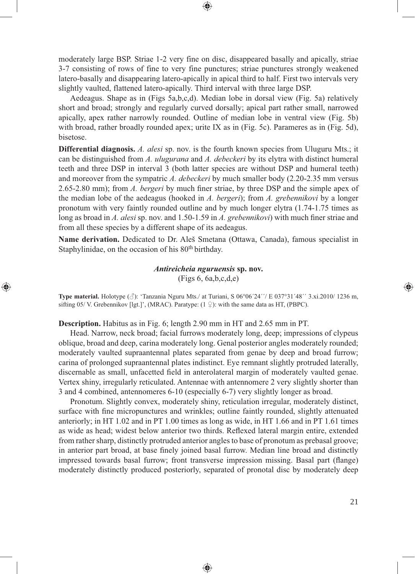moderately large BSP. Striae 1-2 very fine on disc, disappeared basally and apically, striae 3-7 consisting of rows of fine to very fine punctures; striae punctures strongly weakened latero-basally and disappearing latero-apically in apical third to half. First two intervals very slightly vaulted, flattened latero-apically. Third interval with three large DSP.

⊕

Aedeagus. Shape as in (Figs 5a,b,c,d). Median lobe in dorsal view (Fig. 5a) relatively short and broad; strongly and regularly curved dorsally; apical part rather small, narrowed apically, apex rather narrowly rounded. Outline of median lobe in ventral view (Fig. 5b) with broad, rather broadly rounded apex; urite IX as in (Fig. 5c). Parameres as in (Fig. 5d), bisetose.

**Differential diagnosis.** *A. alesi* sp. nov. is the fourth known species from Uluguru Mts.; it can be distinguished from *A. ulugurana* and *A. debeckeri* by its elytra with distinct humeral teeth and three DSP in interval 3 (both latter species are without DSP and humeral teeth) and moreover from the sympatric *A. debeckeri* by much smaller body (2.20-2.35 mm versus 2.65-2.80 mm); from *A. bergeri* by much finer striae, by three DSP and the simple apex of the median lobe of the aedeagus (hooked in *A. bergeri*); from *A. grebennikovi* by a longer pronotum with very faintly rounded outline and by much longer elytra (1.74-1.75 times as long as broad in *A. alesi* sp. nov. and 1.50-1.59 in *A. grebennikovi*) with much finer striae and from all these species by a different shape of its aedeagus.

**Name derivation.** Dedicated to Dr. Aleš Smetana (Ottawa, Canada), famous specialist in Staphylinidae, on the occasion of his 80<sup>th</sup> birthday.

> *Antireicheia nguruensis* **sp. nov.** (Figs 6, 6a,b,c,d,e)

**Type material.** Holotype (♂): 'Tanzania Nguru Mts./ at Turiani, S 06°06´24´´/ E 037°31´48´´ 3.xi.2010/ 1236 m, sifting 05/ V. Grebennikov [lgt.]', (MRAC). Paratype:  $(1 \nsubseteq)$ : with the same data as HT, (PBPC).

**Description.** Habitus as in Fig. 6; length 2.90 mm in HT and 2.65 mm in PT.

⊕

Head. Narrow, neck broad; facial furrows moderately long, deep; impressions of clypeus oblique, broad and deep, carina moderately long. Genal posterior angles moderately rounded; moderately vaulted supraantennal plates separated from genae by deep and broad furrow; carina of prolonged supraantennal plates indistinct. Eye remnant slightly protruded laterally, discernable as small, unfacetted field in anterolateral margin of moderately vaulted genae. Vertex shiny, irregularly reticulated. Antennae with antennomere 2 very slightly shorter than 3 and 4 combined, antennomeres 6-10 (especially 6-7) very slightly longer as broad.

Pronotum. Slightly convex, moderately shiny, reticulation irregular, moderately distinct, surface with fine micropunctures and wrinkles; outline faintly rounded, slightly attenuated anteriorly; in HT 1.02 and in PT 1.00 times as long as wide, in HT 1.66 and in PT 1.61 times as wide as head; widest below anterior two thirds. Reflexed lateral margin entire, extended from rather sharp, distinctly protruded anterior angles to base of pronotum as prebasal groove; in anterior part broad, at base finely joined basal furrow. Median line broad and distinctly impressed towards basal furrow; front transverse impression missing. Basal part (flange) moderately distinctly produced posteriorly, separated of pronotal disc by moderately deep

♠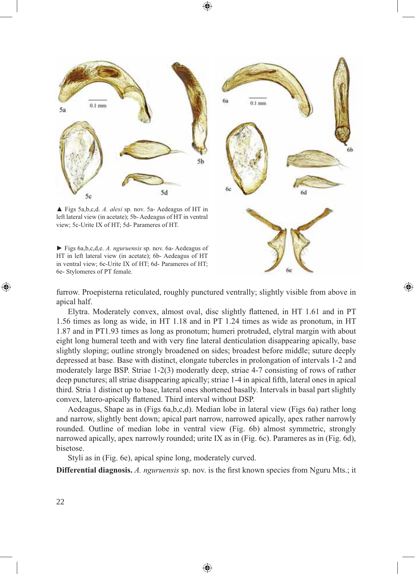⊕



▲ Figs 5a,b,c,d. *A. alesi* sp. nov. 5a- Aedeagus of HT in left lateral view (in acetate); 5b- Aedeagus of HT in ventral view; 5c-Urite IX of HT; 5d- Parameres of HT.

► Figs 6a,b,c,d,e. *A. nguruensis* sp. nov. 6a- Aedeagus of HT in left lateral view (in acetate); 6b- Aedeagus of HT in ventral view; 6c-Urite IX of HT; 6d- Parameres of HT; 6e- Stylomeres of PT female.

 $0.1$  mm

⊕

furrow. Proepisterna reticulated, roughly punctured ventrally; slightly visible from above in apical half.

Elytra. Moderately convex, almost oval, disc slightly flattened, in HT 1.61 and in PT 1.56 times as long as wide, in HT 1.18 and in PT 1.24 times as wide as pronotum, in HT 1.87 and in PT1.93 times as long as pronotum; humeri protruded, elytral margin with about eight long humeral teeth and with very fine lateral denticulation disappearing apically, base slightly sloping; outline strongly broadened on sides; broadest before middle; suture deeply depressed at base. Base with distinct, elongate tubercles in prolongation of intervals 1-2 and moderately large BSP. Striae 1-2(3) moderatly deep, striae 4-7 consisting of rows of rather deep punctures; all striae disappearing apically; striae 1-4 in apical fifth, lateral ones in apical third. Stria 1 distinct up to base, lateral ones shortened basally. Intervals in basal part slightly convex, latero-apically flattened. Third interval without DSP.

Aedeagus, Shape as in (Figs 6a,b,c,d). Median lobe in lateral view (Figs 6a) rather long and narrow, slightly bent down; apical part narrow, narrowed apically, apex rather narrowly rounded. Outline of median lobe in ventral view (Fig. 6b) almost symmetric, strongly narrowed apically, apex narrowly rounded; urite IX as in (Fig. 6c). Parameres as in (Fig. 6d), bisetose.

Styli as in (Fig. 6e), apical spine long, moderately curved.

**Differential diagnosis.** *A. nguruensis* sp. nov. is the first known species from Nguru Mts.; it

♠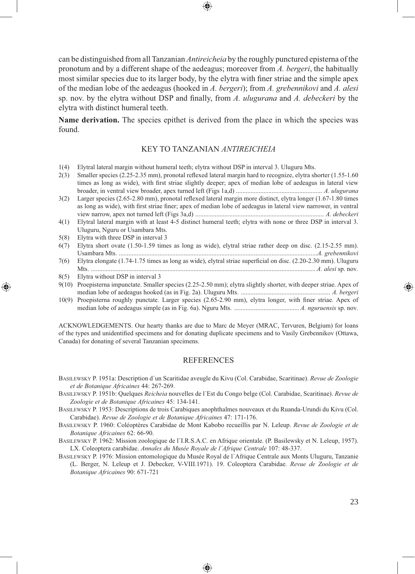can be distinguished from all Tanzanian *Antireicheia* by the roughly punctured episterna of the pronotum and by a different shape of the aedeagus; moreover from *A. bergeri*, the habitually most similar species due to its larger body, by the elytra with finer striae and the simple apex of the median lobe of the aedeagus (hooked in *A. bergeri*); from *A. grebennikovi* and *A. alesi* sp. nov. by the elytra without DSP and finally, from A. *ulugurana* and A. debeckeri by the elytra with distinct humeral teeth.

**Name derivation.** The species epithet is derived from the place in which the species was found.

## KEY TO TANZANIAN *ANTIREICHEIA*

- 1(4) Elytral lateral margin without humeral teeth; elytra without DSP in interval 3. Uluguru Mts.
- 2(3) Smaller species (2.25-2.35 mm), pronotal reflexed lateral margin hard to recognize, elytra shorter (1.55-1.60) times as long as wide), with first striae slightly deeper; apex of median lobe of aedeagus in lateral view broader, in ventral view broader, apex turned left (Figs 1a,d) ..................................................... *A. ulugurana*
- $3(2)$  Larger species (2.65-2.80 mm), pronotal reflexed lateral margin more distinct, elytra longer (1.67-1.80 times as long as wide), with first striae finer; apex of median lobe of aedeagus in lateral view narrower, in ventral view narrow, apex not turned left (Figs 3a,d) ............................................................................... *A. debeckeri*
- 4(1) Elytral lateral margin with at least 4-5 distinct humeral teeth; elytra with none or three DSP in interval 3. Uluguru, Nguru or Usambara Mts.
- 5(8) Elytra with three DSP in interval 3

⊕

- 6(7) Elytra short ovate (1.50-1.59 times as long as wide), elytral striae rather deep on disc. (2.15-2.55 mm). Usambara Mts. ..........................................................................................................................*A. grebennikovi* 7(6) Elytra elongate (1.74-1.75 times as long as wide), elytral striae superficial on disc. (2.20-2.30 mm). Uluguru
- Mts. .......................................................................................................................................... *A. alesi* sp. nov*.* 8(5) Elytra without DSP in interval 3
- 9(10) Proepisterna impunctate. Smaller species (2.25-2.50 mm); elytra slightly shorter, with deeper striae. Apex of median lobe of aedeagus hooked (as in Fig. 2a). Uluguru Mts. ....................................................... *A. bergeri*
- 10(9) Proepisterna roughly punctate. Larger species (2.65-2.90 mm), elytra longer, with finer striae. Apex of median lobe of aedeagus simple (as in Fig. 6a). Nguru Mts. ........................................ *A. nguruensis* sp. nov*.*

ACKNOWLEDGEMENTS. Our hearty thanks are due to Marc de Meyer (MRAC, Tervuren, Belgium) for loans of the types and unidentified specimens and for donating duplicate specimens and to Vasily Grebennikov (Ottawa, Canada) for donating of several Tanzanian specimens.

#### REFERENCES

- BASILEWSKY P. 1951a: Description d´un Scaritidae aveugle du Kivu (Col. Carabidae, Scaritinae). *Revue de Zoologie et de Botanique Africaines* 44: 267-269.
- BASILEWSKY P. 1951b: Quelques *Reicheia* nouvelles de l´Est du Congo belge (Col. Carabidae, Scaritinae). *Revue de Zoologie et de Botanique Africaines* 45: 134-141.
- BASILEWSKY P. 1953: Descriptions de trois Carabiques anophthalmes nouveaux et du Ruanda-Urundi du Kivu (Col. Carabidae). *Revue de Zoologie et de Botanique Africaines* 47: 171-176.
- BASILEWSKY P. 1960: Coléoptères Carabidae de Mont Kabobo recueillis par N. Leleup. *Revue de Zoologie et de Botanique Africaines* 62: 66-90.
- BASILEWSKY P. 1962: Mission zoologique de l´I.R.S.A.C. en Afrique orientale. (P. Basilewsky et N. Leleup, 1957). LX. Coleoptera carabidae. *Annales du Musée Royale de l´Afrique Centrale* 107: 48-337.
- BASILEWSKY P. 1976: Mission entomologique du Musée Royal de l´Afrique Centrale aux Monts Uluguru, Tanzanie (L. Berger, N. Leleup et J. Debecker, V-VIII.1971). 19. Coleoptera Carabidae. *Revue de Zoologie et de Botanique Africaines* 90: 671-721

⊕